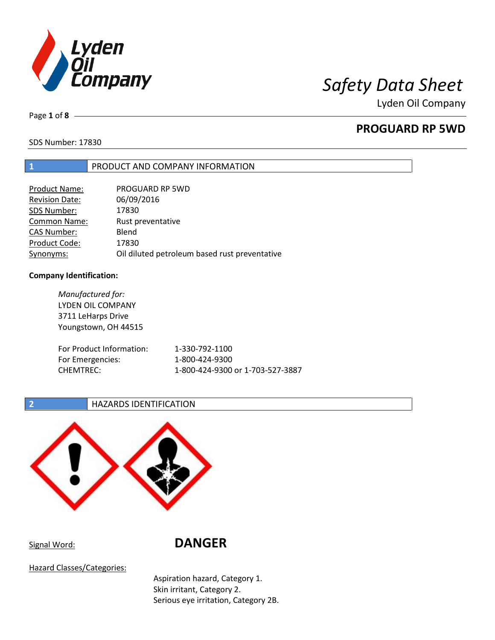

# *Safety Data Sheet*

Lyden Oil Company

Page **1** of **8**

## **PROGUARD RP 5WD**

SDS Number: 17830

### **1** PRODUCT AND COMPANY INFORMATION

| Product Name:         | PROGUARD RP 5WD                               |
|-----------------------|-----------------------------------------------|
| <b>Revision Date:</b> | 06/09/2016                                    |
| SDS Number:           | 17830                                         |
| <b>Common Name:</b>   | Rust preventative                             |
| <b>CAS Number:</b>    | Blend                                         |
| Product Code:         | 17830                                         |
| Synonyms:             | Oil diluted petroleum based rust preventative |

#### **Company Identification:**

*Manufactured for:*  LYDEN OIL COMPANY 3711 LeHarps Drive Youngstown, OH 44515 For Product Information: 1-330-792-1100 For Emergencies: 1-800-424-9300 CHEMTREC: 1-800-424-9300 or 1-703-527-3887

### **2 HAZARDS IDENTIFICATION**



Signal Word: **DANGER** 

Hazard Classes/Categories:

Aspiration hazard, Category 1. Skin irritant, Category 2. Serious eye irritation, Category 2B.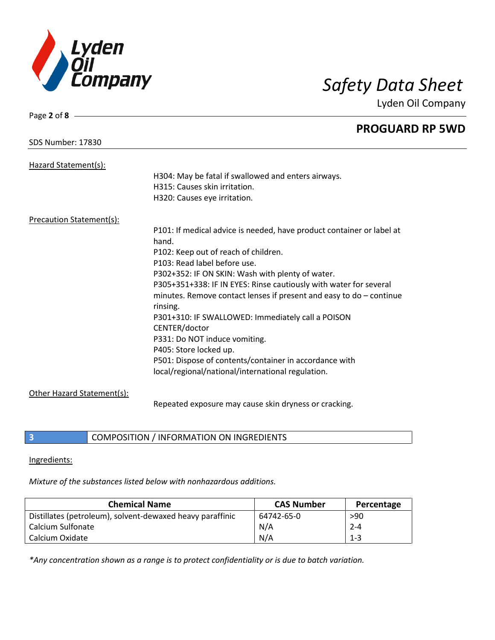

Page **2** of **8**

# *Safety Data Sheet*

Lyden Oil Company

|                            | <b>PROGUARD RP 5WD</b>                                                |
|----------------------------|-----------------------------------------------------------------------|
| <b>SDS Number: 17830</b>   |                                                                       |
| Hazard Statement(s):       |                                                                       |
|                            | H304: May be fatal if swallowed and enters airways.                   |
|                            | H315: Causes skin irritation.                                         |
|                            | H320: Causes eye irritation.                                          |
| Precaution Statement(s):   |                                                                       |
|                            | P101: If medical advice is needed, have product container or label at |
|                            | hand.                                                                 |
|                            | P102: Keep out of reach of children.                                  |
|                            | P103: Read label before use.                                          |
|                            | P302+352: IF ON SKIN: Wash with plenty of water.                      |
|                            | P305+351+338: IF IN EYES: Rinse cautiously with water for several     |
|                            | minutes. Remove contact lenses if present and easy to $do$ – continue |
|                            | rinsing.                                                              |
|                            | P301+310: IF SWALLOWED: Immediately call a POISON                     |
|                            | CENTER/doctor                                                         |
|                            | P331: Do NOT induce vomiting.                                         |
|                            | P405: Store locked up.                                                |
|                            | P501: Dispose of contents/container in accordance with                |
|                            | local/regional/national/international regulation.                     |
| Other Hazard Statement(s): |                                                                       |
|                            | Repeated exposure may cause skin dryness or cracking.                 |

**3** COMPOSITION / INFORMATION ON INGREDIENTS

Ingredients:

*Mixture of the substances listed below with nonhazardous additions.* 

| <b>Chemical Name</b>                                      | <b>CAS Number</b> | Percentage |
|-----------------------------------------------------------|-------------------|------------|
| Distillates (petroleum), solvent-dewaxed heavy paraffinic | 64742-65-0        | >90        |
| Calcium Sulfonate                                         | N/A               | $2 - 4$    |
| Calcium Oxidate                                           | N/A               | $1 - 3$    |

*\*Any concentration shown as a range is to protect confidentiality or is due to batch variation.*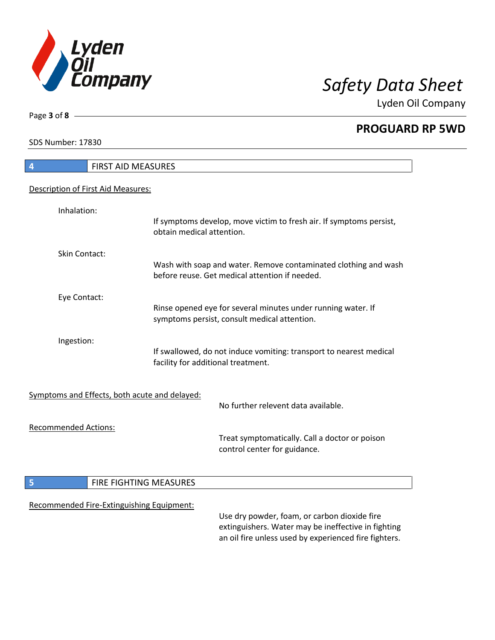

**PROGUARD RP 5WD**

SDS Number: 17830

Page **3** of **8**

| 4                           | FIRST AID MEASURES                            |                                                                                                                                                              |
|-----------------------------|-----------------------------------------------|--------------------------------------------------------------------------------------------------------------------------------------------------------------|
|                             | Description of First Aid Measures:            |                                                                                                                                                              |
| Inhalation:                 | obtain medical attention.                     | If symptoms develop, move victim to fresh air. If symptoms persist,                                                                                          |
| Skin Contact:               |                                               | Wash with soap and water. Remove contaminated clothing and wash<br>before reuse. Get medical attention if needed.                                            |
| Eye Contact:                |                                               | Rinse opened eye for several minutes under running water. If<br>symptoms persist, consult medical attention.                                                 |
| Ingestion:                  | facility for additional treatment.            | If swallowed, do not induce vomiting: transport to nearest medical                                                                                           |
|                             | Symptoms and Effects, both acute and delayed: | No further relevent data available.                                                                                                                          |
| <b>Recommended Actions:</b> |                                               | Treat symptomatically. Call a doctor or poison<br>control center for guidance.                                                                               |
| 5                           | FIRE FIGHTING MEASURES                        |                                                                                                                                                              |
|                             | Recommended Fire-Extinguishing Equipment:     | Use dry powder, foam, or carbon dioxide fire<br>extinguishers. Water may be ineffective in fighting<br>an oil fire unless used by experienced fire fighters. |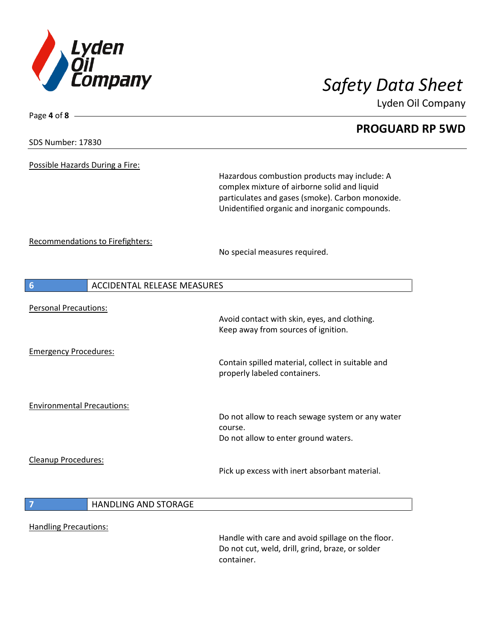

# Page **4** of **8 PROGUARD RP 5WD** SDS Number: 17830 Possible Hazards During a Fire: Hazardous combustion products may include: A complex mixture of airborne solid and liquid particulates and gases (smoke). Carbon monoxide. Unidentified organic and inorganic compounds. Recommendations to Firefighters: No special measures required. **6 ACCIDENTAL RELEASE MEASURES** Personal Precautions: Avoid contact with skin, eyes, and clothing. Keep away from sources of ignition. Emergency Procedures: Contain spilled material, collect in suitable and properly labeled containers. Environmental Precautions: Do not allow to reach sewage system or any water course. Do not allow to enter ground waters. Cleanup Procedures: Pick up excess with inert absorbant material. **7 HANDLING AND STORAGE** Handling Precautions: Handle with care and avoid spillage on the floor. Do not cut, weld, drill, grind, braze, or solder container.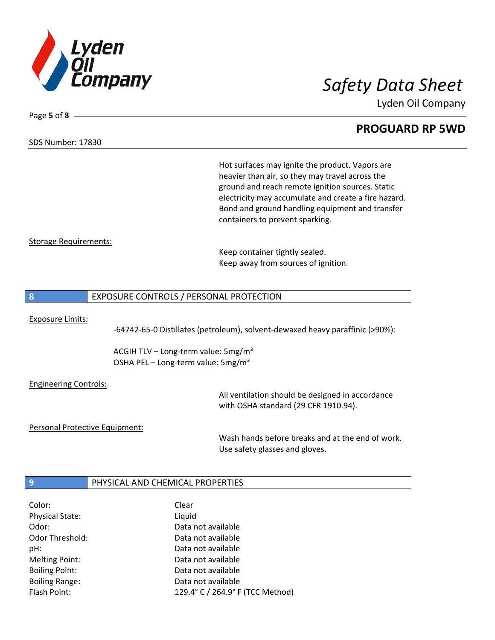

## **PROGUARD RP 5WD**

SDS Number: 17830

Page **5** of **8**

Hot surfaces may ignite the product. Vapors are heavier than air, so they may travel across the ground and reach remote ignition sources. Static electricity may accumulate and create a fire hazard. Bond and ground handling equipment and transfer containers to prevent sparking.

### Storage Requirements:

Keep container tightly sealed. Keep away from sources of ignition.

### **8** EXPOSURE CONTROLS / PERSONAL PROTECTION

#### Exposure Limits:

-64742-65-0 Distillates (petroleum), solvent-dewaxed heavy paraffinic (>90%):

ACGIH TLV – Long-term value:  $5\,\text{mg/m}^3$ OSHA PEL – Long-term value:  $5\,\text{mg/m}^3$ 

#### Engineering Controls:

All ventilation should be designed in accordance with OSHA standard (29 CFR 1910.94).

#### Personal Protective Equipment:

Wash hands before breaks and at the end of work. Use safety glasses and gloves.

### **9 PHYSICAL AND CHEMICAL PROPERTIES**

| Color:                 | Clear                            |
|------------------------|----------------------------------|
| <b>Physical State:</b> | Liquid                           |
| Odor:                  | Data not available               |
| Odor Threshold:        | Data not available               |
| pH:                    | Data not available               |
| <b>Melting Point:</b>  | Data not available               |
| <b>Boiling Point:</b>  | Data not available               |
| <b>Boiling Range:</b>  | Data not available               |
| Flash Point:           | 129.4° C / 264.9° F (TCC Method) |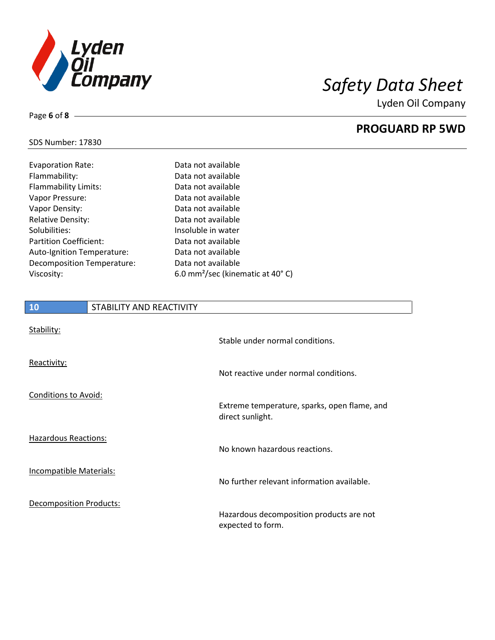

**PROGUARD RP 5WD**

### SDS Number: 17830

Page **6** of **8**

| <b>Evaporation Rate:</b>      | Data not available                           |
|-------------------------------|----------------------------------------------|
| Flammability:                 | Data not available                           |
| <b>Flammability Limits:</b>   | Data not available                           |
| Vapor Pressure:               | Data not available                           |
| Vapor Density:                | Data not available                           |
| <b>Relative Density:</b>      | Data not available                           |
| Solubilities:                 | Insoluble in water                           |
| <b>Partition Coefficient:</b> | Data not available                           |
| Auto-Ignition Temperature:    | Data not available                           |
| Decomposition Temperature:    | Data not available                           |
| Viscosity:                    | 6.0 mm <sup>2</sup> /sec (kinematic at 40°C) |

# **10** STABILITY AND REACTIVITY Stability:

| <b>Jtability.</b>              | Stable under normal conditions.                                  |
|--------------------------------|------------------------------------------------------------------|
| Reactivity:                    | Not reactive under normal conditions.                            |
| <b>Conditions to Avoid:</b>    | Extreme temperature, sparks, open flame, and<br>direct sunlight. |
| <b>Hazardous Reactions:</b>    | No known hazardous reactions.                                    |
| Incompatible Materials:        | No further relevant information available.                       |
| <b>Decomposition Products:</b> | Hazardous decomposition products are not<br>expected to form.    |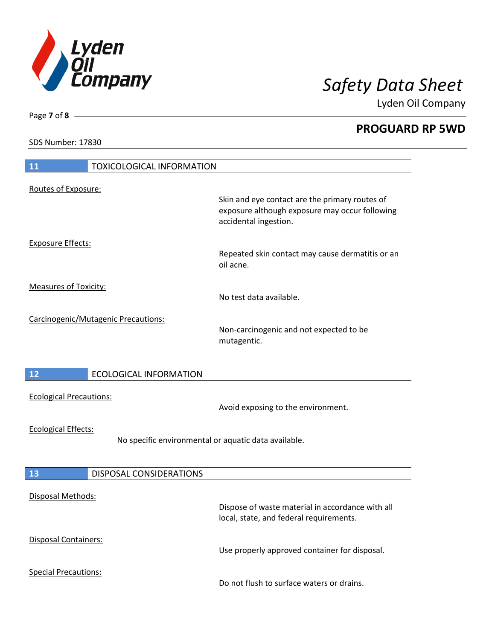

**PROGUARD RP 5WD**

SDS Number: 17830

Page **7** of **8**

| <b>11</b><br><b>TOXICOLOGICAL INFORMATION</b>                                      |                                                                                                                           |
|------------------------------------------------------------------------------------|---------------------------------------------------------------------------------------------------------------------------|
| Routes of Exposure:                                                                | Skin and eye contact are the primary routes of<br>exposure although exposure may occur following<br>accidental ingestion. |
| <b>Exposure Effects:</b>                                                           | Repeated skin contact may cause dermatitis or an<br>oil acne.                                                             |
| <b>Measures of Toxicity:</b>                                                       | No test data available.                                                                                                   |
| Carcinogenic/Mutagenic Precautions:                                                | Non-carcinogenic and not expected to be<br>mutagentic.                                                                    |
| <b>ECOLOGICAL INFORMATION</b><br>12                                                |                                                                                                                           |
| <b>Ecological Precautions:</b>                                                     | Avoid exposing to the environment.                                                                                        |
| <b>Ecological Effects:</b><br>No specific environmental or aquatic data available. |                                                                                                                           |
| <b>DISPOSAL CONSIDERATIONS</b><br>13                                               |                                                                                                                           |
| Disposal Methods:                                                                  | Dispose of waste material in accordance with all<br>local, state, and federal requirements.                               |
| Disposal Containers:                                                               | Use properly approved container for disposal.                                                                             |
| <b>Special Precautions:</b>                                                        | Do not flush to surface waters or drains.                                                                                 |